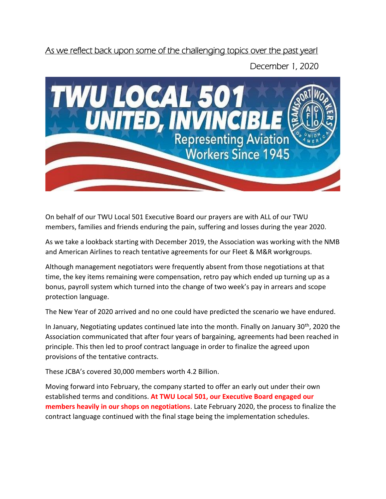## As we reflect back upon some of the challenging topics over the past year!

December 1, 2020



On behalf of our TWU Local 501 Executive Board our prayers are with ALL of our TWU members, families and friends enduring the pain, suffering and losses during the year 2020.

As we take a lookback starting with December 2019, the Association was working with the NMB and American Airlines to reach tentative agreements for our Fleet & M&R workgroups.

Although management negotiators were frequently absent from those negotiations at that time, the key items remaining were compensation, retro pay which ended up turning up as a bonus, payroll system which turned into the change of two week's pay in arrears and scope protection language.

The New Year of 2020 arrived and no one could have predicted the scenario we have endured.

In January, Negotiating updates continued late into the month. Finally on January 30<sup>th</sup>, 2020 the Association communicated that after four years of bargaining, agreements had been reached in principle. This then led to proof contract language in order to finalize the agreed upon provisions of the tentative contracts.

These JCBA's covered 30,000 members worth 4.2 Billion.

Moving forward into February, the company started to offer an early out under their own established terms and conditions. **At TWU Local 501, our Executive Board engaged our members heavily in our shops on negotiations**. Late February 2020, the process to finalize the contract language continued with the final stage being the implementation schedules.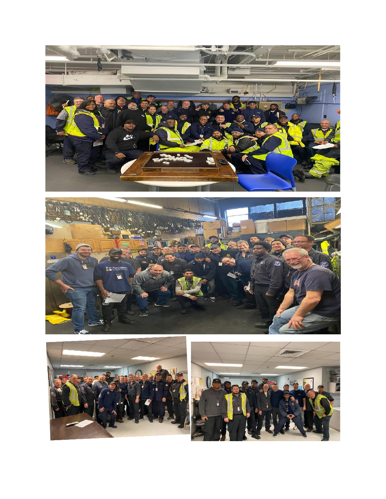





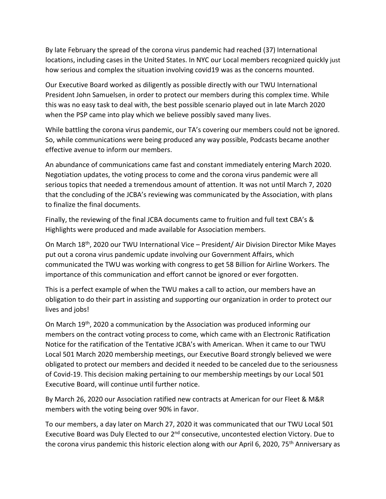By late February the spread of the corona virus pandemic had reached (37) International locations, including cases in the United States. In NYC our Local members recognized quickly just how serious and complex the situation involving covid19 was as the concerns mounted.

Our Executive Board worked as diligently as possible directly with our TWU International President John Samuelsen, in order to protect our members during this complex time. While this was no easy task to deal with, the best possible scenario played out in late March 2020 when the PSP came into play which we believe possibly saved many lives.

While battling the corona virus pandemic, our TA's covering our members could not be ignored. So, while communications were being produced any way possible, Podcasts became another effective avenue to inform our members.

An abundance of communications came fast and constant immediately entering March 2020. Negotiation updates, the voting process to come and the corona virus pandemic were all serious topics that needed a tremendous amount of attention. It was not until March 7, 2020 that the concluding of the JCBA's reviewing was communicated by the Association, with plans to finalize the final documents.

Finally, the reviewing of the final JCBA documents came to fruition and full text CBA's & Highlights were produced and made available for Association members.

On March 18th, 2020 our TWU International Vice – President/ Air Division Director Mike Mayes put out a corona virus pandemic update involving our Government Affairs, which communicated the TWU was working with congress to get 58 Billion for Airline Workers. The importance of this communication and effort cannot be ignored or ever forgotten.

This is a perfect example of when the TWU makes a call to action, our members have an obligation to do their part in assisting and supporting our organization in order to protect our lives and jobs!

On March 19th, 2020 a communication by the Association was produced informing our members on the contract voting process to come, which came with an Electronic Ratification Notice for the ratification of the Tentative JCBA's with American. When it came to our TWU Local 501 March 2020 membership meetings, our Executive Board strongly believed we were obligated to protect our members and decided it needed to be canceled due to the seriousness of Covid-19. This decision making pertaining to our membership meetings by our Local 501 Executive Board, will continue until further notice.

By March 26, 2020 our Association ratified new contracts at American for our Fleet & M&R members with the voting being over 90% in favor.

To our members, a day later on March 27, 2020 it was communicated that our TWU Local 501 Executive Board was Duly Elected to our 2<sup>nd</sup> consecutive, uncontested election Victory. Due to the corona virus pandemic this historic election along with our April 6, 2020, 75<sup>th</sup> Anniversary as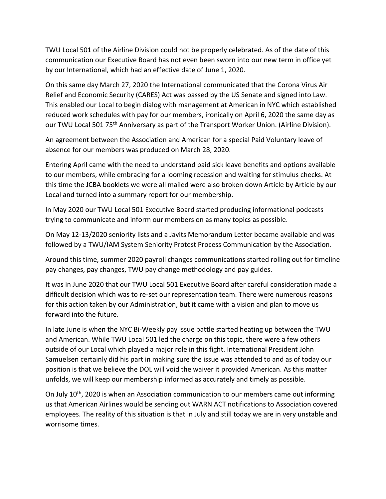TWU Local 501 of the Airline Division could not be properly celebrated. As of the date of this communication our Executive Board has not even been sworn into our new term in office yet by our International, which had an effective date of June 1, 2020.

On this same day March 27, 2020 the International communicated that the Corona Virus Air Relief and Economic Security (CARES) Act was passed by the US Senate and signed into Law. This enabled our Local to begin dialog with management at American in NYC which established reduced work schedules with pay for our members, ironically on April 6, 2020 the same day as our TWU Local 501 75<sup>th</sup> Anniversary as part of the Transport Worker Union. (Airline Division).

An agreement between the Association and American for a special Paid Voluntary leave of absence for our members was produced on March 28, 2020.

Entering April came with the need to understand paid sick leave benefits and options available to our members, while embracing for a looming recession and waiting for stimulus checks. At this time the JCBA booklets we were all mailed were also broken down Article by Article by our Local and turned into a summary report for our membership.

In May 2020 our TWU Local 501 Executive Board started producing informational podcasts trying to communicate and inform our members on as many topics as possible.

On May 12-13/2020 seniority lists and a Javits Memorandum Letter became available and was followed by a TWU/IAM System Seniority Protest Process Communication by the Association.

Around this time, summer 2020 payroll changes communications started rolling out for timeline pay changes, pay changes, TWU pay change methodology and pay guides.

It was in June 2020 that our TWU Local 501 Executive Board after careful consideration made a difficult decision which was to re-set our representation team. There were numerous reasons for this action taken by our Administration, but it came with a vision and plan to move us forward into the future.

In late June is when the NYC Bi-Weekly pay issue battle started heating up between the TWU and American. While TWU Local 501 led the charge on this topic, there were a few others outside of our Local which played a major role in this fight. International President John Samuelsen certainly did his part in making sure the issue was attended to and as of today our position is that we believe the DOL will void the waiver it provided American. As this matter unfolds, we will keep our membership informed as accurately and timely as possible.

On July 10<sup>th</sup>, 2020 is when an Association communication to our members came out informing us that American Airlines would be sending out WARN ACT notifications to Association covered employees. The reality of this situation is that in July and still today we are in very unstable and worrisome times.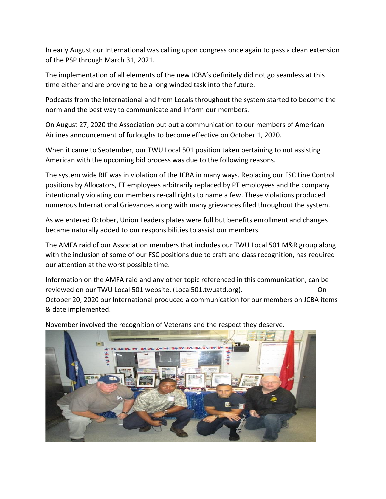In early August our International was calling upon congress once again to pass a clean extension of the PSP through March 31, 2021.

The implementation of all elements of the new JCBA's definitely did not go seamless at this time either and are proving to be a long winded task into the future.

Podcasts from the International and from Locals throughout the system started to become the norm and the best way to communicate and inform our members.

On August 27, 2020 the Association put out a communication to our members of American Airlines announcement of furloughs to become effective on October 1, 2020.

When it came to September, our TWU Local 501 position taken pertaining to not assisting American with the upcoming bid process was due to the following reasons.

The system wide RIF was in violation of the JCBA in many ways. Replacing our FSC Line Control positions by Allocators, FT employees arbitrarily replaced by PT employees and the company intentionally violating our members re-call rights to name a few. These violations produced numerous International Grievances along with many grievances filed throughout the system.

As we entered October, Union Leaders plates were full but benefits enrollment and changes became naturally added to our responsibilities to assist our members.

The AMFA raid of our Association members that includes our TWU Local 501 M&R group along with the inclusion of some of our FSC positions due to craft and class recognition, has required our attention at the worst possible time.

Information on the AMFA raid and any other topic referenced in this communication, can be reviewed on our TWU Local 501 website. (Local501.twuatd.org). On October 20, 2020 our International produced a communication for our members on JCBA items & date implemented.



November involved the recognition of Veterans and the respect they deserve.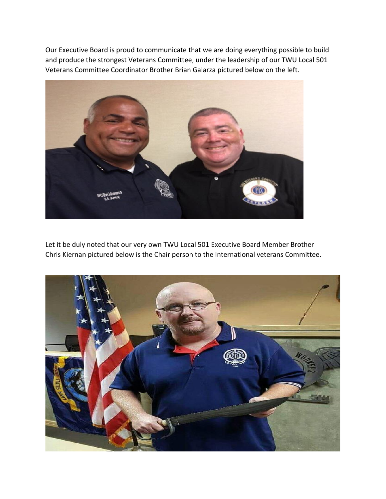Our Executive Board is proud to communicate that we are doing everything possible to build and produce the strongest Veterans Committee, under the leadership of our TWU Local 501 Veterans Committee Coordinator Brother Brian Galarza pictured below on the left.



Let it be duly noted that our very own TWU Local 501 Executive Board Member Brother Chris Kiernan pictured below is the Chair person to the International veterans Committee.